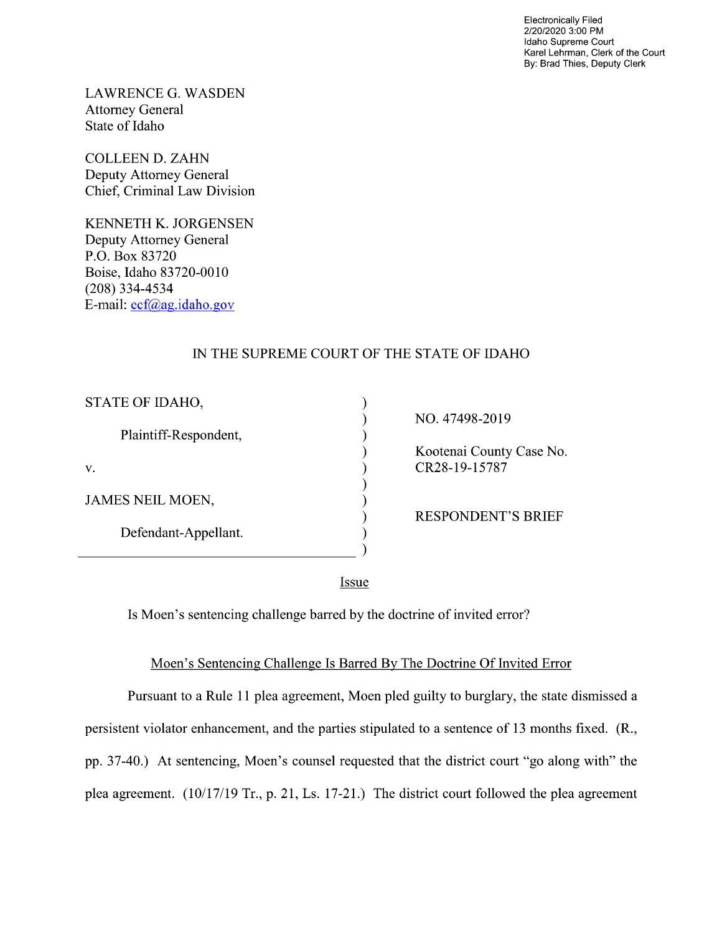Electronically Filed 2/20/2020 3:00 PM Idaho Supreme Court Karel Lehrman, Clerk of the Court By: Brad Thies, Deputy Clerk

LAWRENCE G. WASDEN Attorney General State of Idaho

COLLEEN D. ZAHN Deputy Attorney General Chief, Criminal Law Division

KENNETH K. JORGENSEN Deputy Attorney General P.O. Box 83720 Boise, Idaho 83720-0010 (208) 334—4534 E—mail: ecf@ag.idah0.g0v

 $\overline{a}$ 

## IN THE SUPREME COURT OF THE STATE OF IDAHO

| STATE OF IDAHO,         |                           |
|-------------------------|---------------------------|
|                         | NO. 47498-2019            |
| Plaintiff-Respondent,   |                           |
|                         | Kootenai County Case No.  |
| V.                      | CR28-19-15787             |
|                         |                           |
| <b>JAMES NEIL MOEN,</b> |                           |
|                         | <b>RESPONDENT'S BRIEF</b> |
| Defendant-Appellant.    |                           |
|                         |                           |
|                         |                           |

Issue

Is Moen's sentencing challenge barred by the doctrine of invited error?

## Moen's Sentencing Challenge Is Barred BV The Doctrine Of Invited Error

Pursuant to a Rule 11 plea agreement, Moen pled guilty to burglary, the state dismissed a persistent violator enhancement, and the parties stipulated to a sentence of 13 months fixed. (R., pp. 37-40.) At sentencing, Moen's counsel requested that the district court "go along with" the plea agreement.  $(10/17/19 \text{ Tr.}, p. 21, Ls. 17-21.)$  The district court followed the plea agreement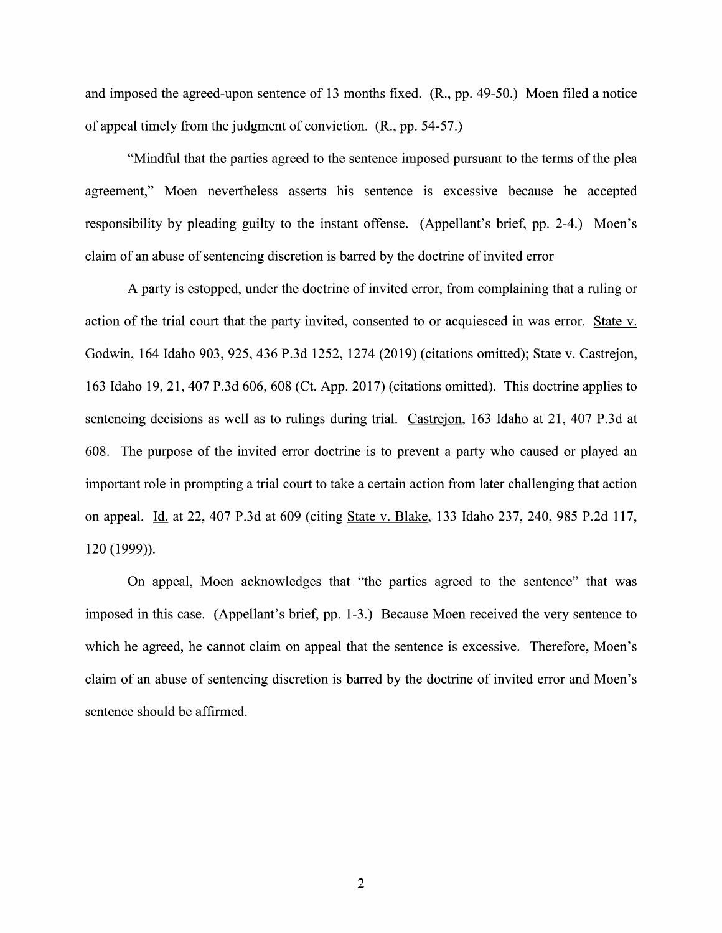and imposed the agreed-upon sentence of 13 months fixed.  $(R., pp. 49-50.)$  Moen filed a notice 0f appeal timely from the judgment 0f conviction. (R., pp. 54-57.)

"Mindful that the parties agreed to the sentence imposed pursuant to the terms 0f the plea agreement," Moen nevertheless asserts his sentence is excessive because he accepted responsibility by pleading guilty to the instant offense. (Appellant's brief, pp. 2-4.) Moen's claim of an abuse of sentencing discretion is barred by the doctrine of invited error

A party is estopped, under the doctrine of invited error, from complaining that a ruling or action of the trial court that the party invited, consented to or acquiesced in was error. State v. Godwin, 164 Idaho 903, 925, 436 P.3d 1252, 1274 (2019) (citations omitted); State v. Castrejon, 163 Idaho 19, 21, 407 P.3d 606, 608 (Ct. App. 2017) (citations omitted). This doctrine applies to sentencing decisions as well as to rulings during trial. Castrejon, 163 Idaho at 21, 407 P.3d at 608. The purpose of the invited error doctrine is to prevent a party who caused or played an important role in prompting a trial court to take a certain action from later challenging that action on appeal. Id. at 22, 407 P.3d at 609 (citing State v. Blake, 133 Idaho 237, 240, 985 P.2d 117, 120 (1999)).

On appeal, Moen acknowledges that "the parties agreed to the sentence" that was imposed in this case. (Appellant's brief, pp. 1-3.) Because Moen received the very sentence to which he agreed, he cannot claim on appeal that the sentence is excessive. Therefore, Moen's<br>claim of an abuse of sentencing discretion is barred by the doctrine of invited error and Moen's sentence should be affirmed.

 $\overline{2}$